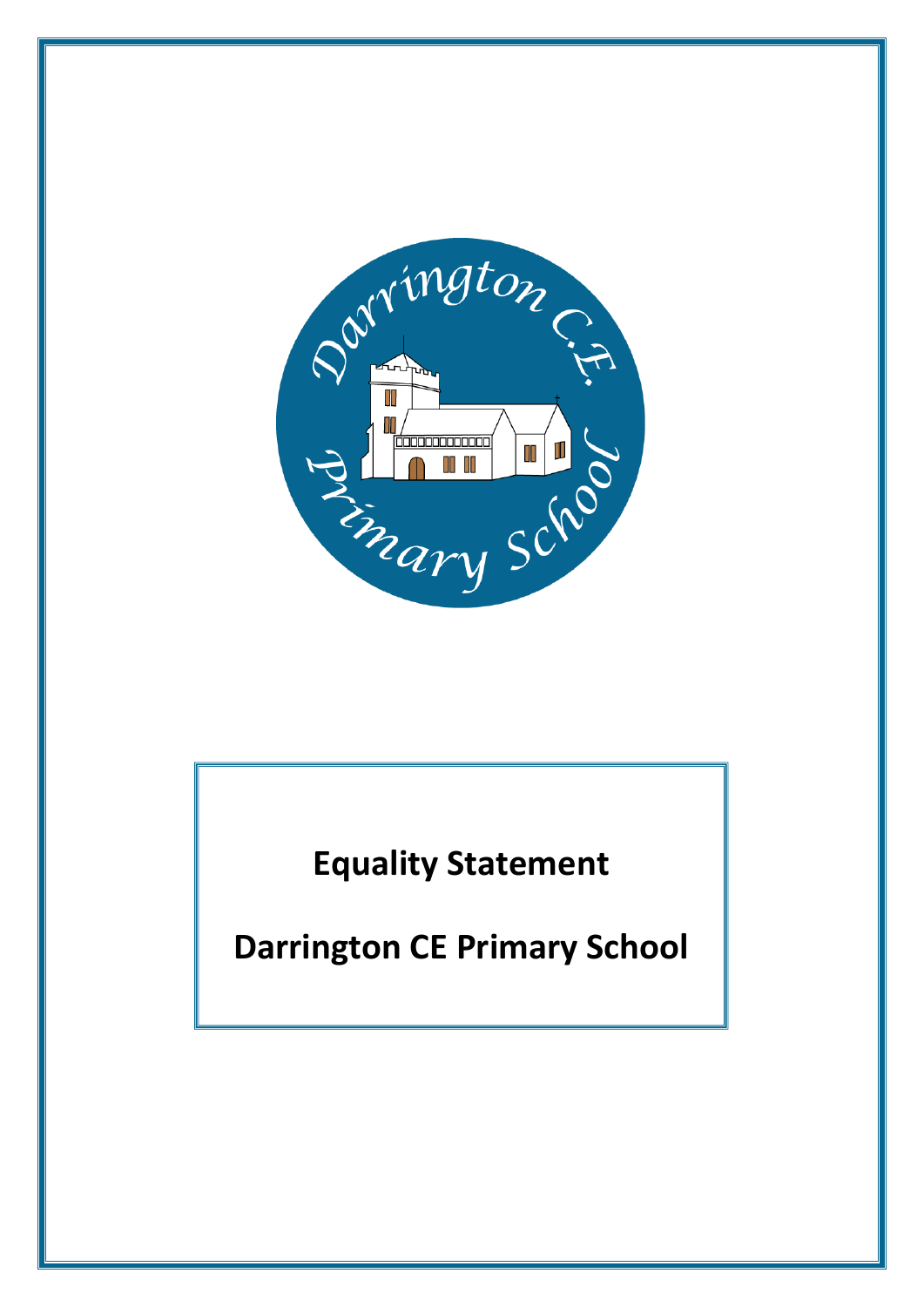

**Equality Statement**

**Darrington CE Primary School**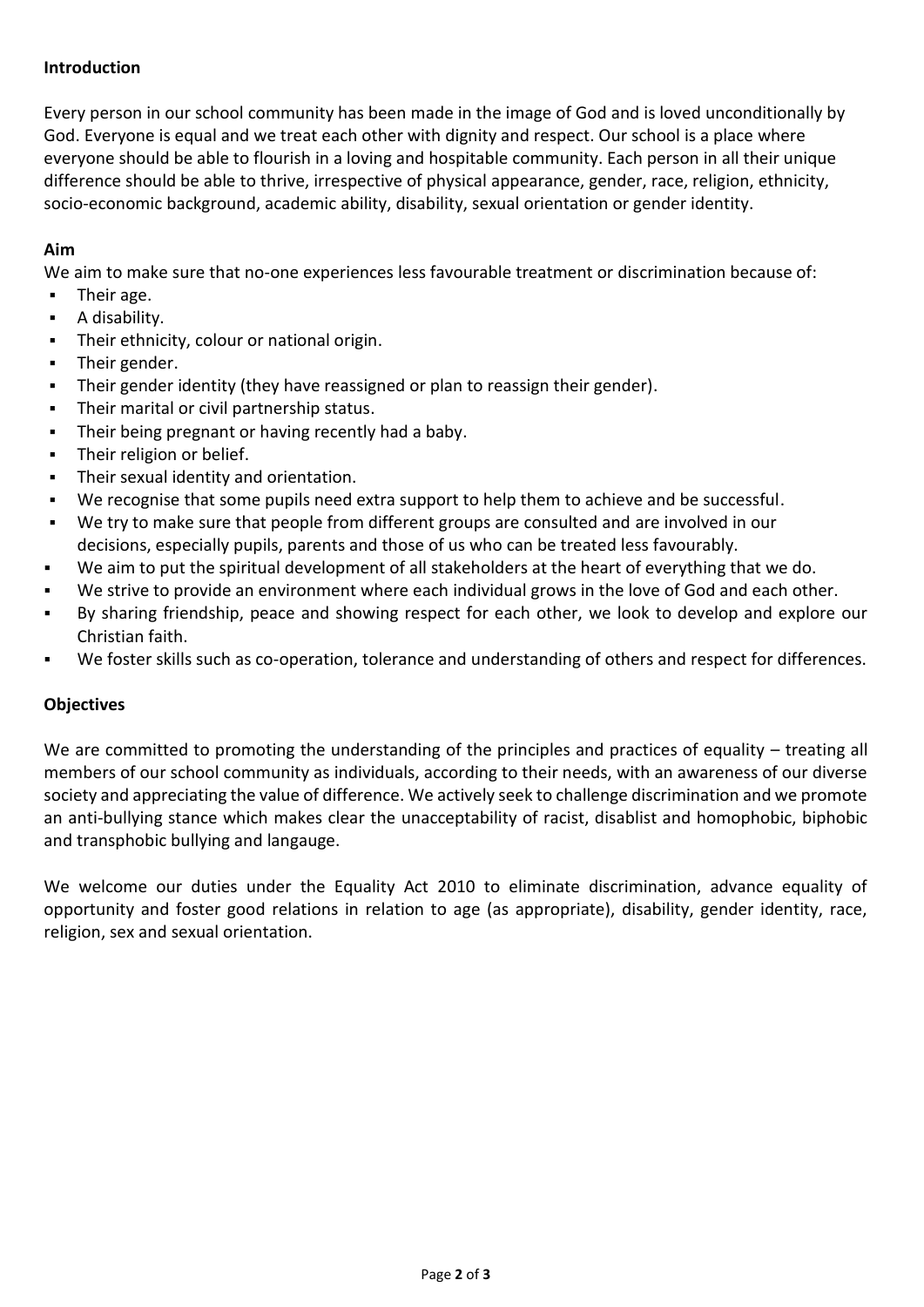## **Introduction**

Every person in our school community has been made in the image of God and is loved unconditionally by God. Everyone is equal and we treat each other with dignity and respect. Our school is a place where everyone should be able to flourish in a loving and hospitable community. Each person in all their unique difference should be able to thrive, irrespective of physical appearance, gender, race, religion, ethnicity, socio-economic background, academic ability, disability, sexual orientation or gender identity.

## **Aim**

We aim to make sure that no-one experiences less favourable treatment or discrimination because of:

- Their age.
- A disability.
- Their ethnicity, colour or national origin.
- **Their gender.**
- Their gender identity (they have reassigned or plan to reassign their gender).
- Their marital or civil partnership status.
- Their being pregnant or having recently had a baby.
- **Their religion or belief.**
- Their sexual identity and orientation.
- We recognise that some pupils need extra support to help them to achieve and be successful.
- We try to make sure that people from different groups are consulted and are involved in our decisions, especially pupils, parents and those of us who can be treated less favourably.
- We aim to put the spiritual development of all stakeholders at the heart of everything that we do.
- We strive to provide an environment where each individual grows in the love of God and each other.
- By sharing friendship, peace and showing respect for each other, we look to develop and explore our Christian faith.
- We foster skills such as co-operation, tolerance and understanding of others and respect for differences.

## **Objectives**

We are committed to promoting the understanding of the principles and practices of equality – treating all members of our school community as individuals, according to their needs, with an awareness of our diverse society and appreciating the value of difference. We actively seek to challenge discrimination and we promote an anti-bullying stance which makes clear the unacceptability of racist, disablist and homophobic, biphobic and transphobic bullying and langauge.

We welcome our duties under the Equality Act 2010 to eliminate discrimination, advance equality of opportunity and foster good relations in relation to age (as appropriate), disability, gender identity, race, religion, sex and sexual orientation.